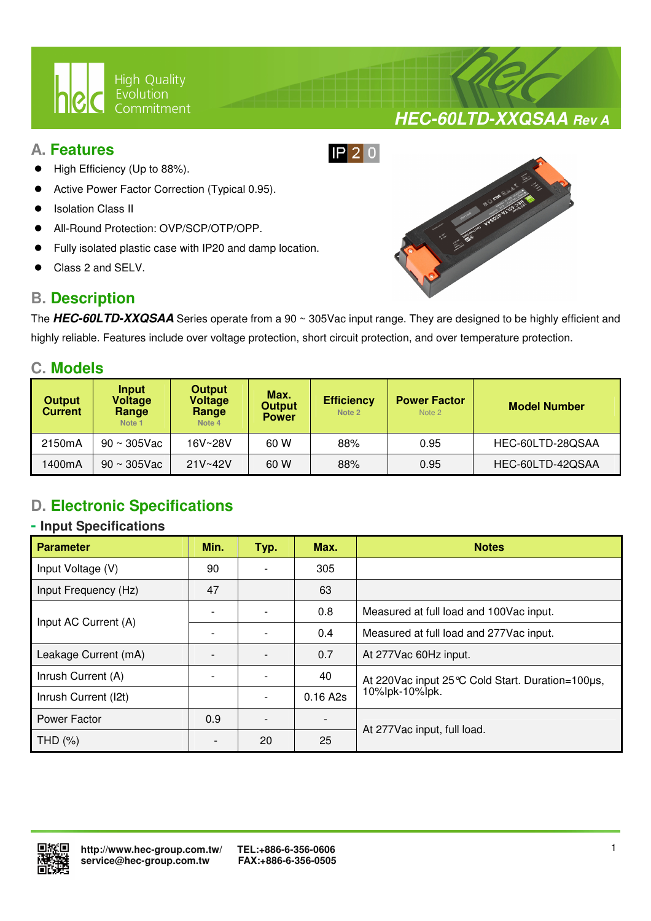

### **A. Features**

- High Efficiency (Up to 88%).
- Active Power Factor Correction (Typical 0.95).
- Isolation Class II
- All-Round Protection: OVP/SCP/OTP/OPP.
- Fully isolated plastic case with IP20 and damp location.

 $\overline{a}$ 

Class 2 and SELV.

## **B. Description**



**HEC-60LTD-XXQSAA Rev A**

The **HEC-60LTD-XXQSAA** Series operate from a 90 ~ 305Vac input range. They are designed to be highly efficient and highly reliable. Features include over voltage protection, short circuit protection, and over temperature protection.

### **C. Models**

| <b>Output</b><br><b>Current</b> | Input<br>Voltage<br>Range<br>Note <sub>1</sub> | <b>Output</b><br><b>Voltage</b><br>Range<br>Note 4 | Max.<br><b>Output</b><br><b>Power</b> | <b>Efficiency</b><br>Note 2 | <b>Power Factor</b><br>Note 2 | <b>Model Number</b> |  |
|---------------------------------|------------------------------------------------|----------------------------------------------------|---------------------------------------|-----------------------------|-------------------------------|---------------------|--|
| 2150mA                          | $90 \sim 305$ Vac                              | 16V~28V                                            | 60 W                                  | 88%                         | 0.95                          | HEC-60LTD-28QSAA    |  |
| 1400mA                          | $90 \sim 305$ Vac                              | $21V - 42V$                                        | 60 W                                  | 88%                         | 0.95                          | HEC-60LTD-42QSAA    |  |

# **D. Electronic Specifications**

### **- Input Specifications**

| <b>Parameter</b>     | Min. | Typ. | Max.                     | <b>Notes</b>                                     |  |
|----------------------|------|------|--------------------------|--------------------------------------------------|--|
| Input Voltage (V)    | 90   |      | 305                      |                                                  |  |
| Input Frequency (Hz) | 47   |      | 63                       |                                                  |  |
| Input AC Current (A) |      |      | 0.8                      | Measured at full load and 100Vac input.          |  |
|                      |      |      | 0.4                      | Measured at full load and 277Vac input.          |  |
| Leakage Current (mA) |      |      | 0.7                      | At 277Vac 60Hz input.                            |  |
| Inrush Current (A)   |      |      | 40                       | At 220Vac input 25 ℃ Cold Start. Duration=100µs, |  |
| Inrush Current (I2t) |      |      | 0.16 A2s                 | 10%lpk-10%lpk.                                   |  |
| Power Factor         | 0.9  |      | $\overline{\phantom{0}}$ |                                                  |  |
| THD $(%)$            |      | 20   | 25                       | At 277Vac input, full load.                      |  |

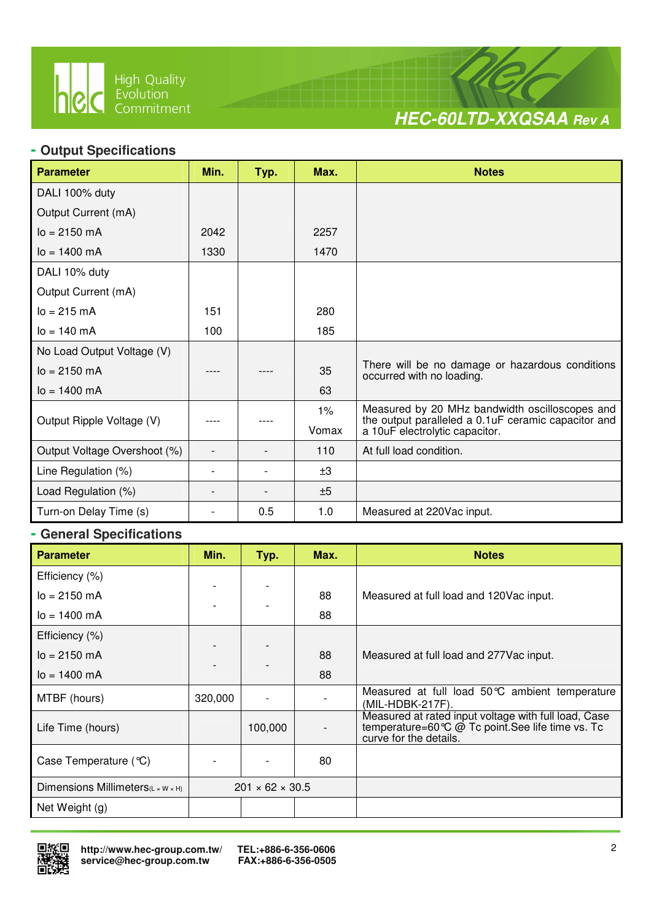

 $\overline{a}$ 



### **- Output Specifications**

| <b>Parameter</b>             | Min. | Typ. | Max.  | <b>Notes</b>                                                                                           |
|------------------------------|------|------|-------|--------------------------------------------------------------------------------------------------------|
| DALI 100% duty               |      |      |       |                                                                                                        |
| Output Current (mA)          |      |      |       |                                                                                                        |
| $I_0 = 2150$ mA              | 2042 |      | 2257  |                                                                                                        |
| $I_0 = 1400 \text{ mA}$      | 1330 |      | 1470  |                                                                                                        |
| DALI 10% duty                |      |      |       |                                                                                                        |
| Output Current (mA)          |      |      |       |                                                                                                        |
| $I_0 = 215 \, mA$            | 151  |      | 280   |                                                                                                        |
| $I_0 = 140 \text{ mA}$       | 100  |      | 185   |                                                                                                        |
| No Load Output Voltage (V)   |      |      |       |                                                                                                        |
| $I_0 = 2150$ mA              |      |      | 35    | There will be no damage or hazardous conditions<br>occurred with no loading.                           |
| $I_0 = 1400$ mA              |      |      | 63    |                                                                                                        |
|                              |      |      | $1\%$ | Measured by 20 MHz bandwidth oscilloscopes and<br>the output paralleled a 0.1 uF ceramic capacitor and |
| Output Ripple Voltage (V)    |      |      | Vomax | a 10uF electrolytic capacitor.                                                                         |
| Output Voltage Overshoot (%) |      |      | 110   | At full load condition.                                                                                |
| Line Regulation (%)          |      |      | ±3    |                                                                                                        |
| Load Regulation (%)          |      |      | ±5    |                                                                                                        |
| Turn-on Delay Time (s)       |      | 0.5  | 1.0   | Measured at 220Vac input.                                                                              |

### **- General Specifications**

| <b>Parameter</b>                  | Min.    | Typ.                        | Max. | <b>Notes</b>                                                                                                                        |
|-----------------------------------|---------|-----------------------------|------|-------------------------------------------------------------------------------------------------------------------------------------|
| Efficiency (%)                    |         |                             |      |                                                                                                                                     |
| $I_0 = 2150$ mA                   |         |                             | 88   | Measured at full load and 120Vac input.                                                                                             |
| $I_0 = 1400$ mA                   |         |                             | 88   |                                                                                                                                     |
| Efficiency (%)                    |         |                             |      |                                                                                                                                     |
| $I_0 = 2150$ mA                   |         |                             | 88   | Measured at full load and 277 Vac input.                                                                                            |
| $I_0 = 1400$ mA                   |         |                             | 88   |                                                                                                                                     |
| MTBF (hours)                      | 320,000 |                             |      | Measured at full load 50°C ambient temperature<br>(MIL-HDBK-217F).                                                                  |
| Life Time (hours)                 |         | 100,000                     |      | Measured at rated input voltage with full load, Case<br>temperature=60 ℃ @ Tc point. See life time vs. Tc<br>curve for the details. |
| Case Temperature (°C)             |         |                             | 80   |                                                                                                                                     |
| Dimensions Millimeters(L x W x H) |         | $201 \times 62 \times 30.5$ |      |                                                                                                                                     |
| Net Weight (g)                    |         |                             |      |                                                                                                                                     |

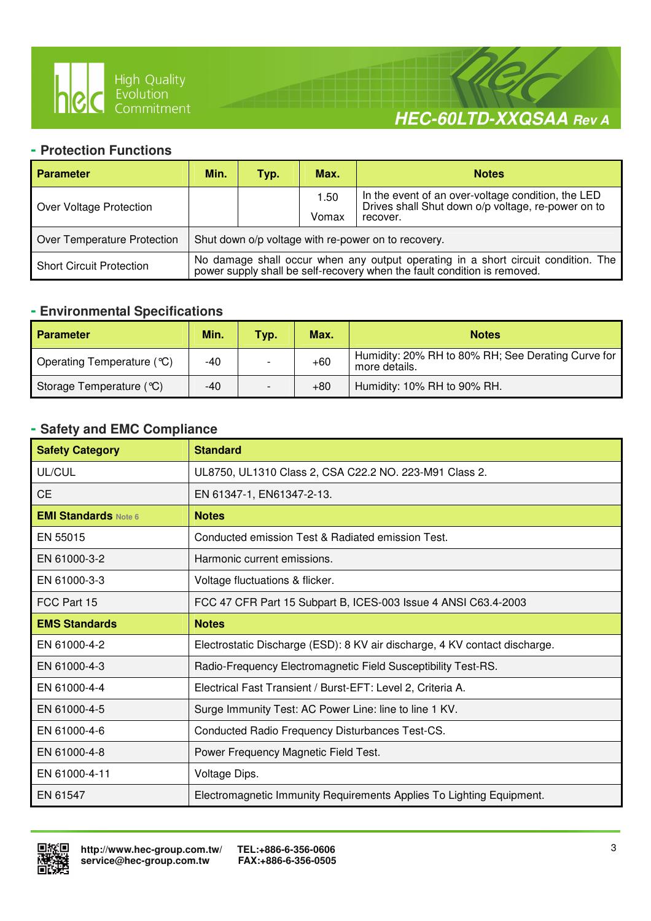

 $\overline{a}$ 

# **HEC-60LTD-XXQSAA Rev A**

### **- Protection Functions**

| <b>Parameter</b>                                                                   | Min.                                                                                                                                                       | Typ. | Max.  | <b>Notes</b>                                                                                             |  |
|------------------------------------------------------------------------------------|------------------------------------------------------------------------------------------------------------------------------------------------------------|------|-------|----------------------------------------------------------------------------------------------------------|--|
| Over Voltage Protection                                                            |                                                                                                                                                            |      | 1.50  | In the event of an over-voltage condition, the LED<br>Drives shall Shut down o/p voltage, re-power on to |  |
|                                                                                    |                                                                                                                                                            |      | Vomax | recover.                                                                                                 |  |
| Over Temperature Protection<br>Shut down o/p voltage with re-power on to recovery. |                                                                                                                                                            |      |       |                                                                                                          |  |
| <b>Short Circuit Protection</b>                                                    | No damage shall occur when any output operating in a short circuit condition. The power supply shall be self-recovery when the fault condition is removed. |      |       |                                                                                                          |  |

### **- Environmental Specifications**

| <b>Parameter</b>           | Min. | Typ. | Max.  | <b>Notes</b>                                                        |
|----------------------------|------|------|-------|---------------------------------------------------------------------|
| Operating Temperature (°C) | -40  |      | $+60$ | Humidity: 20% RH to 80% RH; See Derating Curve for<br>more details. |
| Storage Temperature (°C)   | -40  |      | $+80$ | Humidity: 10% RH to 90% RH.                                         |

### **- Safety and EMC Compliance**

| <b>Safety Category</b>      | <b>Standard</b>                                                            |
|-----------------------------|----------------------------------------------------------------------------|
| UL/CUL                      | UL8750, UL1310 Class 2, CSA C22.2 NO. 223-M91 Class 2.                     |
| <b>CE</b>                   | EN 61347-1, EN61347-2-13.                                                  |
| <b>EMI Standards Note 6</b> | <b>Notes</b>                                                               |
| EN 55015                    | Conducted emission Test & Radiated emission Test.                          |
| EN 61000-3-2                | Harmonic current emissions.                                                |
| EN 61000-3-3                | Voltage fluctuations & flicker.                                            |
| FCC Part 15                 | FCC 47 CFR Part 15 Subpart B, ICES-003 Issue 4 ANSI C63.4-2003             |
| <b>EMS Standards</b>        | <b>Notes</b>                                                               |
| EN 61000-4-2                | Electrostatic Discharge (ESD): 8 KV air discharge, 4 KV contact discharge. |
| EN 61000-4-3                | Radio-Frequency Electromagnetic Field Susceptibility Test-RS.              |
| EN 61000-4-4                | Electrical Fast Transient / Burst-EFT: Level 2, Criteria A.                |
| EN 61000-4-5                | Surge Immunity Test: AC Power Line: line to line 1 KV.                     |
| EN 61000-4-6                | Conducted Radio Frequency Disturbances Test-CS.                            |
| EN 61000-4-8                | Power Frequency Magnetic Field Test.                                       |
| EN 61000-4-11               | Voltage Dips.                                                              |
| EN 61547                    | Electromagnetic Immunity Requirements Applies To Lighting Equipment.       |

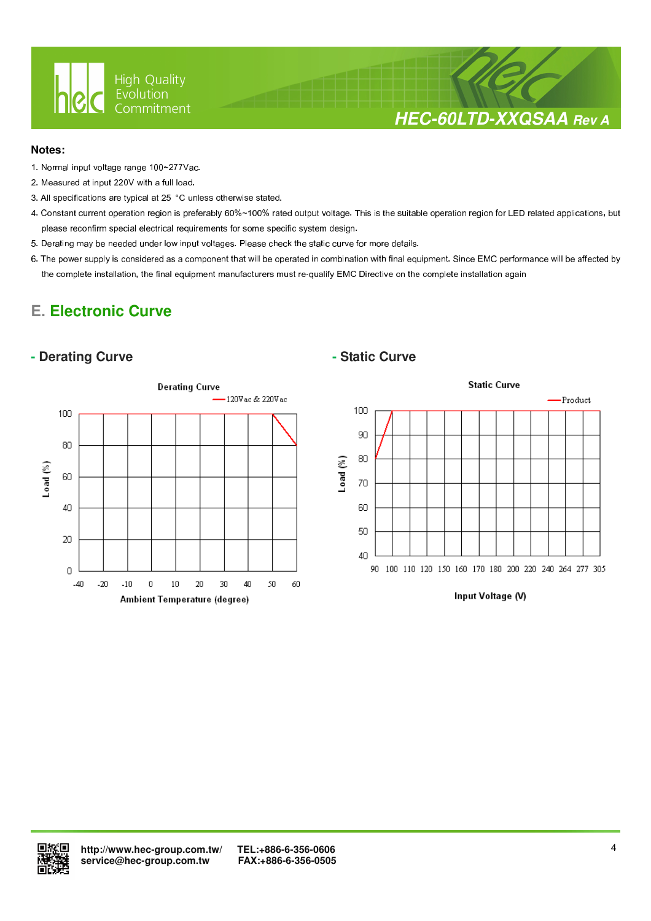

# **HEC-60LTD-XXQSAA Rev A**

### **Notes:**

- 1. Normal input voltage range 100~277Vac.
- 2. Measured at input 220V with a full load.
- 3. All specifications are typical at 25 °C unless otherwise stated.

 $\overline{a}$ 

- 4. Constant current operation region is preferably 60%~100% rated output voltage. This is the suitable operation region for LED related applications, but please reconfirm special electrical requirements for some specific system design.
- 5. Derating may be needed under low input voltages. Please check the static curve for more details.
- 6. The power supply is considered as a component that will be operated in combination with final equipment. Since EMC performance will be affected by the complete installation, the final equipment manufacturers must re-qualify EMC Directive on the complete installation again

# **E. Electronic Curve**

### **- Derating Curve**  $\qquad$  **- Static Curve**





Input Voltage (V)

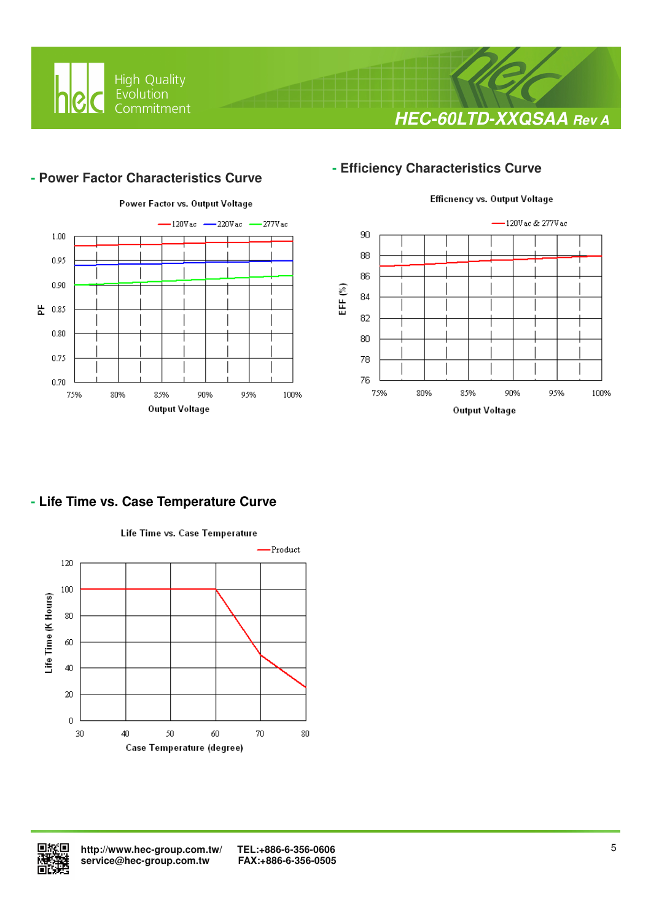

# **HEC-60LTD-XXQSAA Rev A**

### **- Power Factor Characteristics Curve**

 $\overline{a}$ 



### **- Efficiency Characteristics Curve**



### **- Life Time vs. Case Temperature Curve**